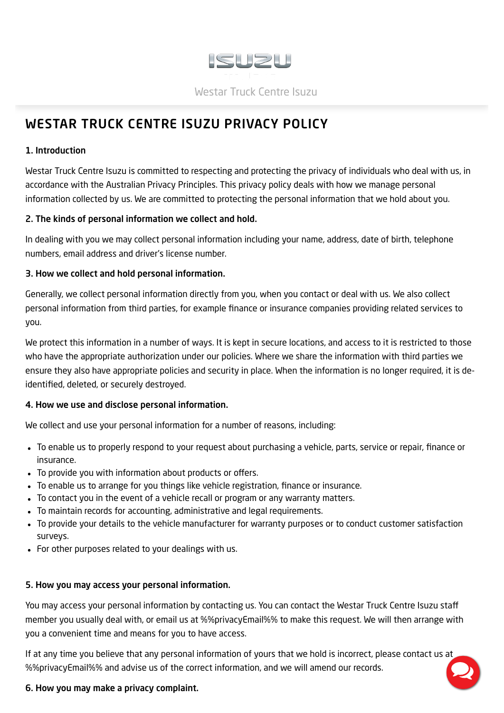

# <span id="page-0-0"></span>WESTAR TRUCK CENTRE ISUZU PRIVACY POLICY

## 1. Introduction

Westar Truck Centre Isuzu is committed to respecting and protecting the privacy of individuals who deal with us, in accordance with the Australian Privacy Principles. This privacy policy deals with how we manage personal information collected by us. We are committed to protecting the personal information that we hold about you.

### 2. The kinds of personal information we collect and hold.

In dealing with you we may collect personal information including your name, address, date of birth, telephone numbers, email address and driver's license number.

## 3. How we collect and hold personal information.

Generally, we collect personal information directly from you, when you contact or deal with us. We also collect personal information from third parties, for example finance or insurance companies providing related services to you.

We protect this information in a number of ways. It is kept in secure locations, and access to it is restricted to those who have the appropriate authorization under our policies. Where we share the information with third parties we ensure they also have appropriate policies and security in place. When the information is no longer required, it is deidentified, deleted, or securely destroyed.

# 4. How we use and disclose personal information.

We collect and use your personal information for a number of reasons, including:

- To enable us to properly respond to your request about purchasing a vehicle, parts, service or repair, finance or insurance.
- To provide you with information about products or offers.
- To enable us to arrange for you things like vehicle registration, finance or insurance.
- To contact you in the event of a vehicle recall or program or any warranty matters.
- To maintain records for accounting, administrative and legal requirements.
- To provide your details to the vehicle manufacturer for warranty purposes or to conduct customer satisfaction surveys.
- For other purposes related to your dealings with us.

# 5. How you may access your personal information.

You may access your personal information by contacting us. You can contact the Westar Truck Centre Isuzu staff member you usually deal with, or email us at %%privacyEmail%% to make this request. We will then arrange with you a convenient time and means for you to have access.

If at any time you believe that any personal information of yours that we hold is incorrect, please contact us at %%privacyEmail%% and advise us of the correct information, and we will amend our records.

# 6. How you may make a privacy complaint.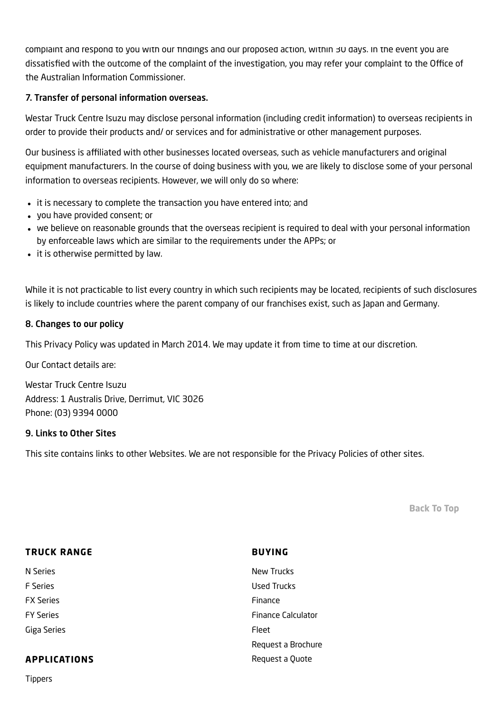complaint and respond to you with our findings and our proposed action, within 30 days. In the event you are dissatisfied with the outcome of the complaint of the investigation, you may refer your complaint to the Office of the Australian Information Commissioner.

## 7. Transfer of personal information overseas.

Westar Truck Centre Isuzu may disclose personal information (including credit information) to overseas recipients in order to provide their products and/ or services and for administrative or other management purposes.

Our business is affiliated with other businesses located overseas, such as vehicle manufacturers and original equipment manufacturers. In the course of doing business with you, we are likely to disclose some of your personal information to overseas recipients. However, we will only do so where:

- it is necessary to complete the transaction you have entered into; and
- you have provided consent; or
- we believe on reasonable grounds that the overseas recipient is required to deal with your personal information by enforceable laws which are similar to the requirements under the APPs; or
- it is otherwise permitted by law.

While it is not practicable to list every country in which such recipients may be located, recipients of such disclosures is likely to include countries where the parent company of our franchises exist, such as Japan and Germany.

### 8. Changes to our policy

This Privacy Policy was updated in March 2014. We may update it from time to time at our discretion.

Our Contact details are:

Westar Truck Centre Isuzu Address: 1 Australis Drive, Derrimut, VIC 3026 Phone: (03) 9394 0000

### 9. Links to Other Sites

This site contains links to other Websites. We are not responsible for the Privacy Policies of other sites.

[Back](#page-0-0) To Top

| <b>TRUCK RANGE</b>  | <b>BUYING</b>             |
|---------------------|---------------------------|
| N Series            | New Trucks                |
| <b>F</b> Series     | Used Trucks               |
| <b>FX Series</b>    | Finance                   |
| <b>FY Series</b>    | <b>Finance Calculator</b> |
| Giga Series         | Fleet                     |
|                     | Request a Brochure        |
| <b>APPLICATIONS</b> | Request a Quote           |

[Tippers](https://www.westarisuzu.com.au/2019isuzutrucks/new-categories/tippers/)